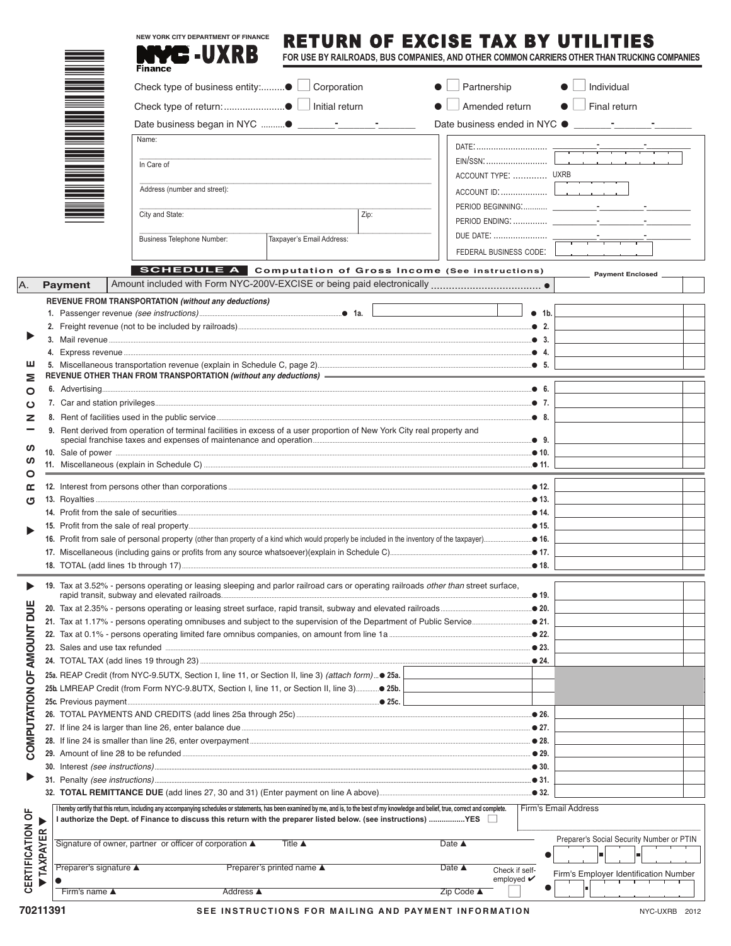|                           |                        |                              | <b>NEW YORK CITY DEPARTMENT OF FINANCE</b>                                                                                                                                                  |                  |                           |      | RETURN OF EXCISE TAX BY UTILITIES                                                            |                                |                             |                                           |  |  |
|---------------------------|------------------------|------------------------------|---------------------------------------------------------------------------------------------------------------------------------------------------------------------------------------------|------------------|---------------------------|------|----------------------------------------------------------------------------------------------|--------------------------------|-----------------------------|-------------------------------------------|--|--|
|                           |                        |                              | <b>NYC -UXRB</b><br><b>Finance</b>                                                                                                                                                          |                  |                           |      | FOR USE BY RAILROADS, BUS COMPANIES, AND OTHER COMMON CARRIERS OTHER THAN TRUCKING COMPANIES |                                |                             |                                           |  |  |
|                           |                        |                              |                                                                                                                                                                                             |                  |                           |      | $\bullet$ $\Box$ Partnership                                                                 |                                | $\bullet$ $\Box$ Individual |                                           |  |  |
|                           |                        |                              | Check type of return: ● □ Initial return                                                                                                                                                    |                  |                           |      | $\bullet$                                                                                    | Amended return                 |                             | $\bullet$ $\Box$ Final return             |  |  |
|                           |                        |                              |                                                                                                                                                                                             |                  |                           |      |                                                                                              |                                |                             |                                           |  |  |
|                           |                        |                              | Name:                                                                                                                                                                                       |                  |                           |      |                                                                                              |                                |                             |                                           |  |  |
|                           |                        |                              |                                                                                                                                                                                             |                  |                           |      |                                                                                              |                                |                             |                                           |  |  |
|                           |                        |                              | In Care of                                                                                                                                                                                  |                  |                           |      |                                                                                              | EIN/SSN                        |                             |                                           |  |  |
|                           |                        |                              | Address (number and street):                                                                                                                                                                |                  |                           |      |                                                                                              | ACCOUNT TYPE:  UXRB            |                             |                                           |  |  |
|                           |                        |                              |                                                                                                                                                                                             |                  |                           |      |                                                                                              |                                |                             |                                           |  |  |
|                           |                        |                              | City and State:                                                                                                                                                                             |                  |                           | Zip: |                                                                                              |                                |                             |                                           |  |  |
|                           |                        |                              | Business Telephone Number:                                                                                                                                                                  |                  | Taxpayer's Email Address: |      |                                                                                              |                                |                             |                                           |  |  |
|                           |                        |                              |                                                                                                                                                                                             |                  |                           |      |                                                                                              | FEDERAL BUSINESS CODE:         |                             |                                           |  |  |
|                           |                        |                              | <b>SCHEDULE A</b> Computation of Gross Income (See instructions)                                                                                                                            |                  |                           |      |                                                                                              |                                |                             | Payment Enclosed                          |  |  |
| A.                        |                        | <b>Payment</b>               |                                                                                                                                                                                             |                  |                           |      |                                                                                              |                                |                             |                                           |  |  |
|                           |                        |                              | REVENUE FROM TRANSPORTATION (without any deductions)                                                                                                                                        |                  |                           |      |                                                                                              |                                |                             |                                           |  |  |
|                           |                        |                              |                                                                                                                                                                                             |                  |                           |      |                                                                                              |                                | • 1b.                       |                                           |  |  |
|                           |                        |                              |                                                                                                                                                                                             |                  |                           |      |                                                                                              |                                |                             |                                           |  |  |
|                           |                        |                              |                                                                                                                                                                                             |                  |                           |      |                                                                                              |                                |                             |                                           |  |  |
| ш                         |                        |                              |                                                                                                                                                                                             |                  |                           |      |                                                                                              |                                |                             |                                           |  |  |
| Ξ                         |                        |                              |                                                                                                                                                                                             |                  |                           |      |                                                                                              |                                |                             |                                           |  |  |
| O                         |                        |                              |                                                                                                                                                                                             |                  |                           |      |                                                                                              |                                |                             |                                           |  |  |
| ပ                         |                        |                              |                                                                                                                                                                                             |                  |                           |      |                                                                                              |                                |                             |                                           |  |  |
| z                         |                        |                              | 9. Rent derived from operation of terminal facilities in excess of a user proportion of New York City real property and                                                                     |                  |                           |      |                                                                                              |                                |                             |                                           |  |  |
|                           |                        |                              |                                                                                                                                                                                             |                  |                           |      |                                                                                              |                                |                             |                                           |  |  |
| ഗ<br>ທ                    |                        |                              |                                                                                                                                                                                             |                  |                           |      |                                                                                              |                                |                             |                                           |  |  |
| O                         |                        |                              |                                                                                                                                                                                             |                  |                           |      |                                                                                              |                                |                             |                                           |  |  |
| œ                         |                        |                              |                                                                                                                                                                                             |                  |                           |      |                                                                                              |                                |                             |                                           |  |  |
| ৩                         |                        |                              |                                                                                                                                                                                             |                  |                           |      |                                                                                              |                                |                             |                                           |  |  |
|                           |                        |                              |                                                                                                                                                                                             |                  |                           |      |                                                                                              |                                |                             |                                           |  |  |
|                           |                        |                              |                                                                                                                                                                                             |                  |                           |      |                                                                                              |                                |                             |                                           |  |  |
|                           |                        |                              |                                                                                                                                                                                             |                  |                           |      |                                                                                              |                                |                             |                                           |  |  |
|                           |                        |                              |                                                                                                                                                                                             |                  |                           |      |                                                                                              |                                |                             |                                           |  |  |
|                           |                        |                              | 19. Tax at 3.52% - persons operating or leasing sleeping and parlor railroad cars or operating railroads other than street surface,                                                         |                  |                           |      |                                                                                              |                                |                             |                                           |  |  |
|                           |                        |                              |                                                                                                                                                                                             |                  |                           |      |                                                                                              |                                | .● 19.                      |                                           |  |  |
|                           |                        |                              |                                                                                                                                                                                             |                  |                           |      |                                                                                              |                                |                             |                                           |  |  |
|                           |                        |                              |                                                                                                                                                                                             |                  |                           |      |                                                                                              |                                |                             |                                           |  |  |
|                           |                        |                              | 23. Sales and use tax refunded manufactured and according to the 323.                                                                                                                       |                  |                           |      |                                                                                              |                                |                             |                                           |  |  |
|                           |                        |                              |                                                                                                                                                                                             |                  |                           |      |                                                                                              |                                |                             |                                           |  |  |
| COMPUTATION OF AMOUNT DUE |                        |                              | 25a. REAP Credit (from NYC-9.5UTX, Section I, line 11, or Section II, line 3) (attach form) 25a.                                                                                            |                  |                           |      |                                                                                              |                                |                             |                                           |  |  |
|                           |                        |                              |                                                                                                                                                                                             |                  |                           |      |                                                                                              |                                |                             |                                           |  |  |
|                           |                        |                              |                                                                                                                                                                                             |                  |                           |      |                                                                                              |                                |                             |                                           |  |  |
|                           |                        |                              |                                                                                                                                                                                             |                  |                           |      |                                                                                              |                                |                             |                                           |  |  |
|                           |                        |                              |                                                                                                                                                                                             |                  |                           |      |                                                                                              |                                |                             |                                           |  |  |
|                           |                        |                              |                                                                                                                                                                                             |                  |                           |      |                                                                                              |                                |                             |                                           |  |  |
|                           |                        |                              |                                                                                                                                                                                             |                  |                           |      |                                                                                              |                                |                             |                                           |  |  |
|                           |                        |                              |                                                                                                                                                                                             |                  |                           |      |                                                                                              |                                |                             |                                           |  |  |
|                           |                        |                              | I hereby certify that this return, including any accompanying schedules or statements, has been examined by me, and is, to the best of my knowledge and belief, true, correct and complete. |                  |                           |      |                                                                                              |                                | Firm's Email Address        |                                           |  |  |
| CERTIFICATION OF          |                        |                              | 1 authorize the Dept. of Finance to discuss this return with the preparer listed below. (see instructions) YES □                                                                            |                  |                           |      |                                                                                              |                                |                             |                                           |  |  |
|                           | <b><i>TAXPAYER</i></b> |                              | Signature of owner, partner or officer of corporation ▲                                                                                                                                     |                  | Title $\triangle$         |      | Date $\triangle$                                                                             |                                |                             | Preparer's Social Security Number or PTIN |  |  |
|                           |                        |                              |                                                                                                                                                                                             |                  |                           |      |                                                                                              |                                |                             |                                           |  |  |
|                           |                        | Preparer's signature ▲       |                                                                                                                                                                                             |                  | Preparer's printed name ▲ |      | Date $\triangle$                                                                             | Check if self-                 |                             | Firm's Employer Identification Number     |  |  |
|                           |                        | Firm's name $\blacktriangle$ |                                                                                                                                                                                             | <b>Address</b> ▲ |                           |      | Zip Code ▲                                                                                   | employed $\mathbf{\checkmark}$ |                             |                                           |  |  |
|                           |                        |                              |                                                                                                                                                                                             |                  |                           |      |                                                                                              |                                |                             |                                           |  |  |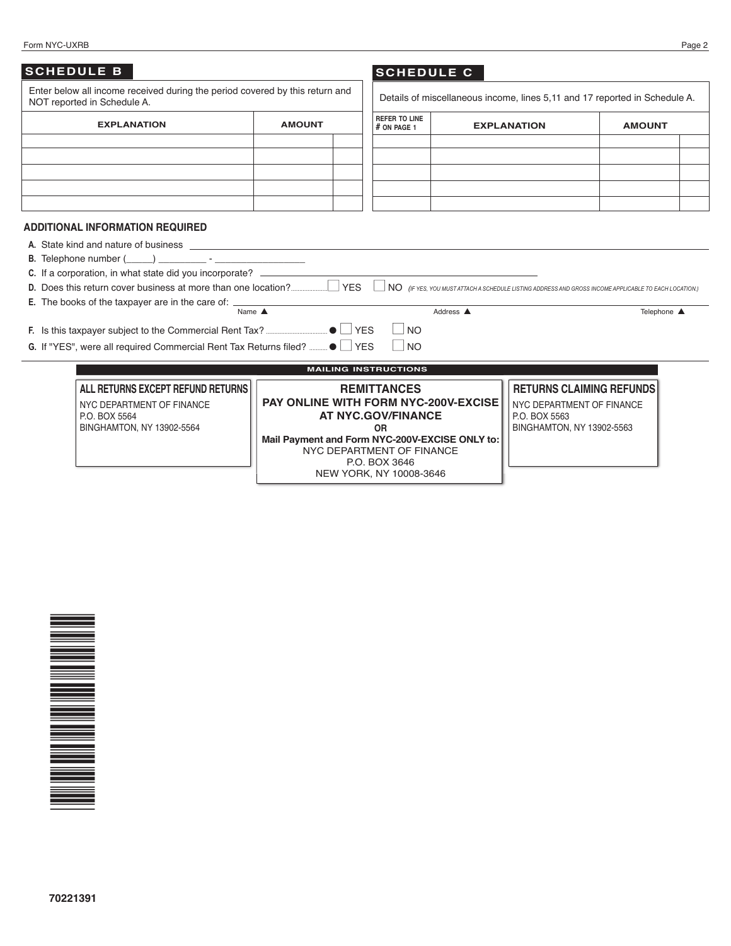#### Form NYC-UXRB Page 2

| <b>SCHEDULE B</b><br>Enter below all income received during the period covered by this return and<br>NOT reported in Schedule A.                                                                                                                                                                                                                                                                                                                                                                                                                                                                |               | <b>SCHEDULE C</b>                                                                                                                                                                                                                      |           |                                                                                                            | Details of miscellaneous income, lines 5,11 and 17 reported in Schedule A.                                           |  |
|-------------------------------------------------------------------------------------------------------------------------------------------------------------------------------------------------------------------------------------------------------------------------------------------------------------------------------------------------------------------------------------------------------------------------------------------------------------------------------------------------------------------------------------------------------------------------------------------------|---------------|----------------------------------------------------------------------------------------------------------------------------------------------------------------------------------------------------------------------------------------|-----------|------------------------------------------------------------------------------------------------------------|----------------------------------------------------------------------------------------------------------------------|--|
| <b>EXPLANATION</b>                                                                                                                                                                                                                                                                                                                                                                                                                                                                                                                                                                              | <b>AMOUNT</b> | <b>REFER TO LINE</b><br>$#$ ON PAGE 1                                                                                                                                                                                                  |           | <b>EXPLANATION</b>                                                                                         | <b>AMOUNT</b>                                                                                                        |  |
|                                                                                                                                                                                                                                                                                                                                                                                                                                                                                                                                                                                                 |               |                                                                                                                                                                                                                                        |           |                                                                                                            |                                                                                                                      |  |
|                                                                                                                                                                                                                                                                                                                                                                                                                                                                                                                                                                                                 |               |                                                                                                                                                                                                                                        |           |                                                                                                            |                                                                                                                      |  |
|                                                                                                                                                                                                                                                                                                                                                                                                                                                                                                                                                                                                 |               |                                                                                                                                                                                                                                        |           |                                                                                                            |                                                                                                                      |  |
|                                                                                                                                                                                                                                                                                                                                                                                                                                                                                                                                                                                                 |               |                                                                                                                                                                                                                                        |           |                                                                                                            |                                                                                                                      |  |
| <b>ADDITIONAL INFORMATION REQUIRED</b><br>A. State kind and nature of business <b>example and proportional control of the state of the state of business</b><br><b>B.</b> Telephone number () and the set of the set of the set of the set of the set of the set of the set of the set of the set of the set of the set of the set of the set of the set of the set of the set of the set of the se<br>C. If a corporation, in what state did you incorporate? ________________________<br>E. The books of the taxpayer are in the care of: _______________________________<br>Name $\triangle$ |               |                                                                                                                                                                                                                                        | Address A |                                                                                                            | NO (IF YES, YOU MUST ATTACH A SCHEDULE LISTING ADDRESS AND GROSS INCOME APPLICABLE TO EACH LOCATION.)<br>Telephone ▲ |  |
|                                                                                                                                                                                                                                                                                                                                                                                                                                                                                                                                                                                                 |               | $\Box$ NO<br>$ $ $ $ NO                                                                                                                                                                                                                |           |                                                                                                            |                                                                                                                      |  |
|                                                                                                                                                                                                                                                                                                                                                                                                                                                                                                                                                                                                 |               | <b>MAILING INSTRUCTIONS</b>                                                                                                                                                                                                            |           |                                                                                                            |                                                                                                                      |  |
| ALL RETURNS EXCEPT REFUND RETURNS<br>NYC DEPARTMENT OF FINANCE<br>P.O. BOX 5564<br>BINGHAMTON, NY 13902-5564                                                                                                                                                                                                                                                                                                                                                                                                                                                                                    |               | <b>REMITTANCES</b><br><b>PAY ONLINE WITH FORM NYC-200V-EXCISE</b><br><b>AT NYC.GOV/FINANCE</b><br><b>OR</b><br>Mail Payment and Form NYC-200V-EXCISE ONLY to:<br>NYC DEPARTMENT OF FINANCE<br>P.O. BOX 3646<br>NEW YORK, NY 10008-3646 |           | <b>RETURNS CLAIMING REFUNDS</b><br>NYC DEPARTMENT OF FINANCE<br>P.O. BOX 5563<br>BINGHAMTON, NY 13902-5563 |                                                                                                                      |  |

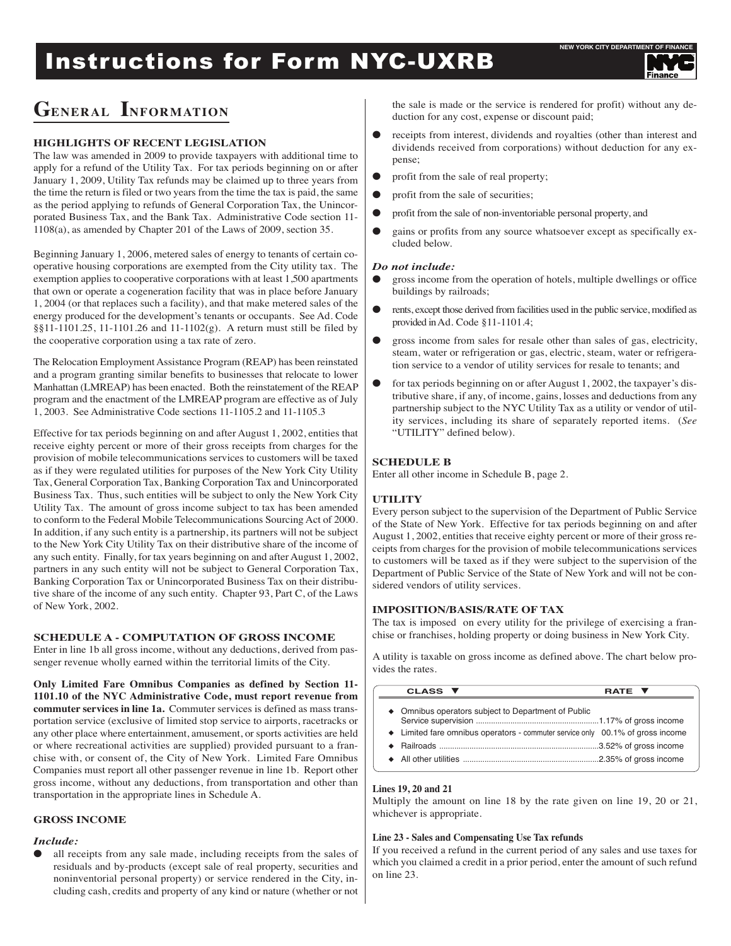# **Instructions for Form NYC-UXRB**

# **GENERAL INFORMATION**

# **HIGHLIGHTS OF RECENT LEGISLATION**

The law was amended in 2009 to provide taxpayers with additional time to apply for a refund of the Utility Tax. For tax periods beginning on or after January 1, 2009, Utility Tax refunds may be claimed up to three years from the time the return is filed or two years from the time the tax is paid, the same as the period applying to refunds of General Corporation Tax, the Unincorporated Business Tax, and the Bank Tax. Administrative Code section 11- 1108(a), as amended by Chapter 201 of the Laws of 2009, section 35.

Beginning January 1, 2006, metered sales of energy to tenants of certain cooperative housing corporations are exempted from the City utility tax. The exemption applies to cooperative corporations with at least 1,500 apartments that own or operate a cogeneration facility that was in place before January 1, 2004 (or that replaces such a facility), and that make metered sales of the energy produced for the development's tenants or occupants. See Ad. Code §§11-1101.25, 11-1101.26 and 11-1102(g). A return must still be filed by the cooperative corporation using a tax rate of zero.

The Relocation Employment Assistance Program (REAP) has been reinstated and a program granting similar benefits to businesses that relocate to lower Manhattan (LMREAP) has been enacted. Both the reinstatement of the REAP program and the enactment of the LMREAP program are effective as of July 1, 2003. See Administrative Code sections 11-1105.2 and 11-1105.3

Effective for tax periods beginning on and after August 1, 2002, entities that receive eighty percent or more of their gross receipts from charges for the provision of mobile telecommunications services to customers will be taxed as if they were regulated utilities for purposes of the New York City Utility Tax, General Corporation Tax, Banking Corporation Tax and Unincorporated Business Tax. Thus, such entities will be subject to only the New York City Utility Tax. The amount of gross income subject to tax has been amended to conform to the Federal Mobile Telecommunications Sourcing Act of 2000. In addition, if any such entity is a partnership, its partners will not be subject to the New York City Utility Tax on their distributive share of the income of any such entity. Finally, for tax years beginning on and after August 1, 2002, partners in any such entity will not be subject to General Corporation Tax, Banking Corporation Tax or Unincorporated Business Tax on their distributive share of the income of any such entity. Chapter 93, Part C, of the Laws of New York, 2002.

# **SCHEDULE A - COMPUTATION OF GROSS INCOME**

Enter in line 1b all gross income, without any deductions, derived from passenger revenue wholly earned within the territorial limits of the City.

**Only Limited Fare Omnibus Companies as defined by Section 11- 1101.10 of the NYC Administrative Code, must report revenue from commuter services in line 1a.** Commuter services is defined as mass transportation service (exclusive of limited stop service to airports, racetracks or any other place where entertainment, amusement, or sports activities are held or where recreational activities are supplied) provided pursuant to a franchise with, or consent of, the City of New York. Limited Fare Omnibus Companies must report all other passenger revenue in line 1b. Report other gross income, without any deductions, from transportation and other than transportation in the appropriate lines in Schedule A.

# **GROSS INCOME**

# *Include:*

all receipts from any sale made, including receipts from the sales of residuals and by-products (except sale of real property, securities and noninventorial personal property) or service rendered in the City, including cash, credits and property of any kind or nature (whether or not the sale is made or the service is rendered for profit) without any deduction for any cost, expense or discount paid;

- receipts from interest, dividends and royalties (other than interest and dividends received from corporations) without deduction for any expense;
- profit from the sale of real property;
- profit from the sale of securities;
- l profit from the sale of non-inventoriable personal property, and
- gains or profits from any source whatsoever except as specifically excluded below.

#### *Do not include:*

- $\bullet$  gross income from the operation of hotels, multiple dwellings or office buildings by railroads;
- l rents, except those derived from facilities used in the public service, modified as provided inAd. Code §11-1101.4;
- l gross income from sales for resale other than sales of gas, electricity, steam, water or refrigeration or gas, electric, steam, water or refrigeration service to a vendor of utility services for resale to tenants; and
- for tax periods beginning on or after August 1, 2002, the taxpayer's distributive share, if any, of income, gains, losses and deductions from any partnership subject to the NYC Utility Tax as a utility or vendor of utility services, including its share of separately reported items. (*See* "UTILITY" defined below).

# **SCHEDULE B**

Enter all other income in Schedule B, page 2.

# **UTILITY**

Every person subject to the supervision of the Department of Public Service of the State of New York. Effective for tax periods beginning on and after August 1, 2002, entities that receive eighty percent or more of their gross receipts from charges for the provision of mobile telecommunications services to customers will be taxed as if they were subject to the supervision of the Department of Public Service of the State of New York and will not be considered vendors of utility services.

# **IMPOSITION/BASIS/RATE OF TAX**

The tax is imposed on every utility for the privilege of exercising a franchise or franchises, holding property or doing business in New York City.

A utility is taxable on gross income as defined above. The chart below provides the rates.

| CLASS ▼                                                                                                                               | <b>RATE V</b> |
|---------------------------------------------------------------------------------------------------------------------------------------|---------------|
| • Omnibus operators subject to Department of Public<br>• Limited fare omnibus operators - commuter service only 00.1% of gross income |               |
|                                                                                                                                       |               |

# **Lines 19, 20 and 21**

Multiply the amount on line 18 by the rate given on line 19, 20 or 21, whichever is appropriate.

#### **Line 23 - Sales and Compensating Use Tax refunds**

If you received a refund in the current period of any sales and use taxes for which you claimed a credit in a prior period, enter the amount of such refund on line 23.